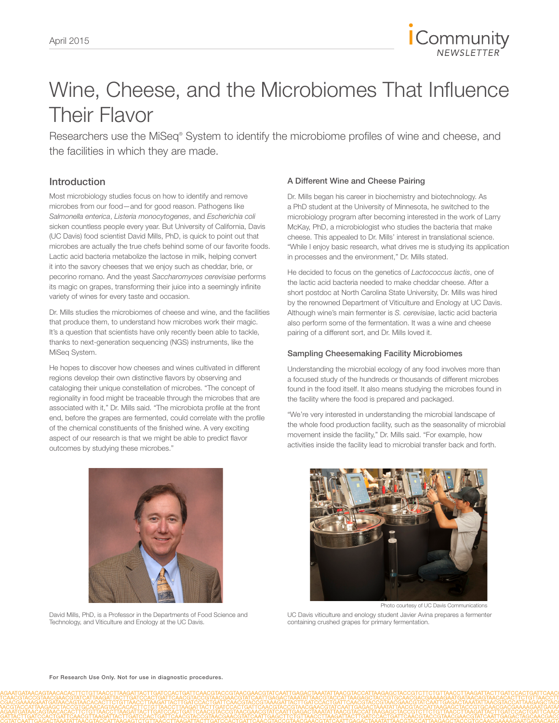

# Wine, Cheese, and the Microbiomes That Influence Their Flavor

Researchers use the MiSeq® System to identify the microbiome profiles of wine and cheese, and the facilities in which they are made.

## Introduction

Most microbiology studies focus on how to identify and remove microbes from our food—and for good reason. Pathogens like *Salmonella enterica*, *Listeria monocytogenes*, and *Escherichia coli*  sicken countless people every year. But University of California, Davis (UC Davis) food scientist David Mills, PhD, is quick to point out that microbes are actually the true chefs behind some of our favorite foods. Lactic acid bacteria metabolize the lactose in milk, helping convert it into the savory cheeses that we enjoy such as cheddar, brie, or pecorino romano. And the yeast *Saccharomyces cerevisiae* performs its magic on grapes, transforming their juice into a seemingly infinite variety of wines for every taste and occasion.

Dr. Mills studies the microbiomes of cheese and wine, and the facilities that produce them, to understand how microbes work their magic. It's a question that scientists have only recently been able to tackle, thanks to next-generation sequencing (NGS) instruments, like the MiSeq System.

He hopes to discover how cheeses and wines cultivated in different regions develop their own distinctive flavors by observing and cataloging their unique constellation of microbes. "The concept of regionality in food might be traceable through the microbes that are associated with it," Dr. Mills said. "The microbiota profile at the front end, before the grapes are fermented, could correlate with the profile of the chemical constituents of the finished wine. A very exciting aspect of our research is that we might be able to predict flavor outcomes by studying these microbes."



David Mills, PhD, is a Professor in the Departments of Food Science and Technology, and Viticulture and Enology at the UC Davis.

## A Different Wine and Cheese Pairing

Dr. Mills began his career in biochemistry and biotechnology. As a PhD student at the University of Minnesota, he switched to the microbiology program after becoming interested in the work of Larry McKay, PhD, a microbiologist who studies the bacteria that make cheese. This appealed to Dr. Mills' interest in translational science. "While I enjoy basic research, what drives me is studying its application in processes and the environment," Dr. Mills stated.

He decided to focus on the genetics of *Lactococcus lactis*, one of the lactic acid bacteria needed to make cheddar cheese. After a short postdoc at North Carolina State University, Dr. Mills was hired by the renowned Department of Viticulture and Enology at UC Davis. Although wine's main fermenter is *S. cerevisiae*, lactic acid bacteria also perform some of the fermentation. It was a wine and cheese pairing of a different sort, and Dr. Mills loved it.

## Sampling Cheesemaking Facility Microbiomes

Understanding the microbial ecology of any food involves more than a focused study of the hundreds or thousands of different microbes found in the food itself. It also means studying the microbes found in the facility where the food is prepared and packaged.

"We're very interested in understanding the microbial landscape of the whole food production facility, such as the seasonality of microbial movement inside the facility," Dr. Mills said. "For example, how activities inside the facility lead to microbial transfer back and forth.



Photo courtesy of UC Davis Communications

UC Davis viticulture and enology student Javier Avina prepares a fermenter containing crushed grapes for primary fermentation.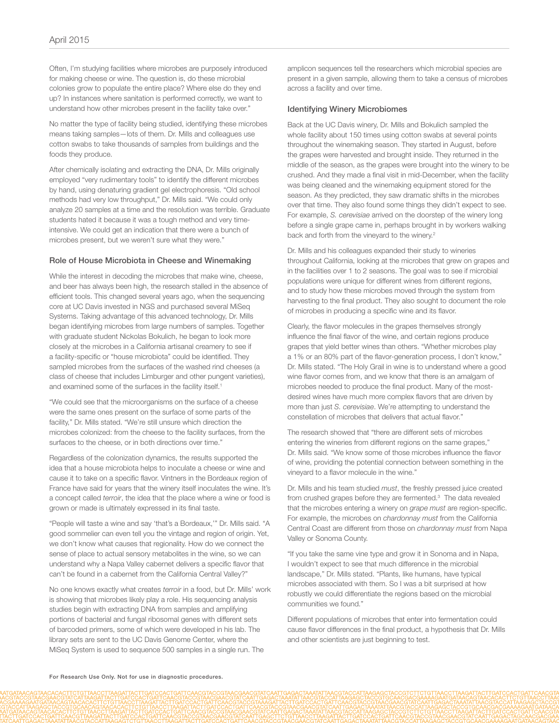Often, I'm studying facilities where microbes are purposely introduced for making cheese or wine. The question is, do these microbial colonies grow to populate the entire place? Where else do they end up? In instances where sanitation is performed correctly, we want to understand how other microbes present in the facility take over."

No matter the type of facility being studied, identifying these microbes means taking samples—lots of them. Dr. Mills and colleagues use cotton swabs to take thousands of samples from buildings and the foods they produce.

After chemically isolating and extracting the DNA, Dr. Mills originally employed "very rudimentary tools" to identify the different microbes by hand, using denaturing gradient gel electrophoresis. "Old school methods had very low throughput," Dr. Mills said. "We could only analyze 20 samples at a time and the resolution was terrible. Graduate students hated it because it was a tough method and very timeintensive. We could get an indication that there were a bunch of microbes present, but we weren't sure what they were."

#### Role of House Microbiota in Cheese and Winemaking

While the interest in decoding the microbes that make wine, cheese, and beer has always been high, the research stalled in the absence of efficient tools. This changed several years ago, when the sequencing core at UC Davis invested in NGS and purchased several MiSeq Systems. Taking advantage of this advanced technology, Dr. Mills began identifying microbes from large numbers of samples. Together with graduate student Nickolas Bokulich, he began to look more closely at the microbes in a California artisanal creamery to see if a facility-specific or "house microbiota" could be identified. They sampled microbes from the surfaces of the washed rind cheeses (a class of cheese that includes Limburger and other pungent varieties), and examined some of the surfaces in the facility itself.<sup>1</sup>

"We could see that the microorganisms on the surface of a cheese were the same ones present on the surface of some parts of the facility," Dr. Mills stated. "We're still unsure which direction the microbes colonized: from the cheese to the facility surfaces, from the surfaces to the cheese, or in both directions over time."

Regardless of the colonization dynamics, the results supported the idea that a house microbiota helps to inoculate a cheese or wine and cause it to take on a specific flavor. Vintners in the Bordeaux region of France have said for years that the winery itself inoculates the wine. It's a concept called *terroir*, the idea that the place where a wine or food is grown or made is ultimately expressed in its final taste.

"People will taste a wine and say 'that's a Bordeaux,'" Dr. Mills said. "A good sommelier can even tell you the vintage and region of origin. Yet, we don't know what causes that regionality. How do we connect the sense of place to actual sensory metabolites in the wine, so we can understand why a Napa Valley cabernet delivers a specific flavor that can't be found in a cabernet from the California Central Valley?"

No one knows exactly what creates *terroir* in a food, but Dr. Mills' work is showing that microbes likely play a role. His sequencing analysis studies begin with extracting DNA from samples and amplifying portions of bacterial and fungal ribosomal genes with different sets of barcoded primers, some of which were developed in his lab. The library sets are sent to the UC Davis Genome Center, where the MiSeq System is used to sequence 500 samples in a single run. The

amplicon sequences tell the researchers which microbial species are present in a given sample, allowing them to take a census of microbes across a facility and over time.

## Identifying Winery Microbiomes

Back at the UC Davis winery, Dr. Mills and Bokulich sampled the whole facility about 150 times using cotton swabs at several points throughout the winemaking season. They started in August, before the grapes were harvested and brought inside. They returned in the middle of the season, as the grapes were brought into the winery to be crushed. And they made a final visit in mid-December, when the facility was being cleaned and the winemaking equipment stored for the season. As they predicted, they saw dramatic shifts in the microbes over that time. They also found some things they didn't expect to see. For example, *S. cerevisiae* arrived on the doorstep of the winery long before a single grape came in, perhaps brought in by workers walking back and forth from the vineyard to the winery.<sup>2</sup>

Dr. Mills and his colleagues expanded their study to wineries throughout California, looking at the microbes that grew on grapes and in the facilities over 1 to 2 seasons. The goal was to see if microbial populations were unique for different wines from different regions, and to study how these microbes moved through the system from harvesting to the final product. They also sought to document the role of microbes in producing a specific wine and its flavor.

Clearly, the flavor molecules in the grapes themselves strongly influence the final flavor of the wine, and certain regions produce grapes that yield better wines than others. "Whether microbes play a 1% or an 80% part of the flavor-generation process, I don't know," Dr. Mills stated. "The Holy Grail in wine is to understand where a good wine flavor comes from, and we know that there is an amalgam of microbes needed to produce the final product. Many of the mostdesired wines have much more complex flavors that are driven by more than just *S. cerevisiae*. We're attempting to understand the constellation of microbes that delivers that actual flavor."

The research showed that "there are different sets of microbes entering the wineries from different regions on the same grapes," Dr. Mills said. "We know some of those microbes influence the flavor of wine, providing the potential connection between something in the vineyard to a flavor molecule in the wine."

Dr. Mills and his team studied *must*, the freshly pressed juice created from crushed grapes before they are fermented.<sup>3</sup> The data revealed that the microbes entering a winery on *grape must* are region-specific. For example, the microbes on *chardonnay must* from the California Central Coast are different from those on *chardonnay must* from Napa Valley or Sonoma County.

"If you take the same vine type and grow it in Sonoma and in Napa, I wouldn't expect to see that much difference in the microbial landscape," Dr. Mills stated. "Plants, like humans, have typical microbes associated with them. So I was a bit surprised at how robustly we could differentiate the regions based on the microbial communities we found."

Different populations of microbes that enter into fermentation could cause flavor differences in the final product, a hypothesis that Dr. Mills and other scientists are just beginning to test.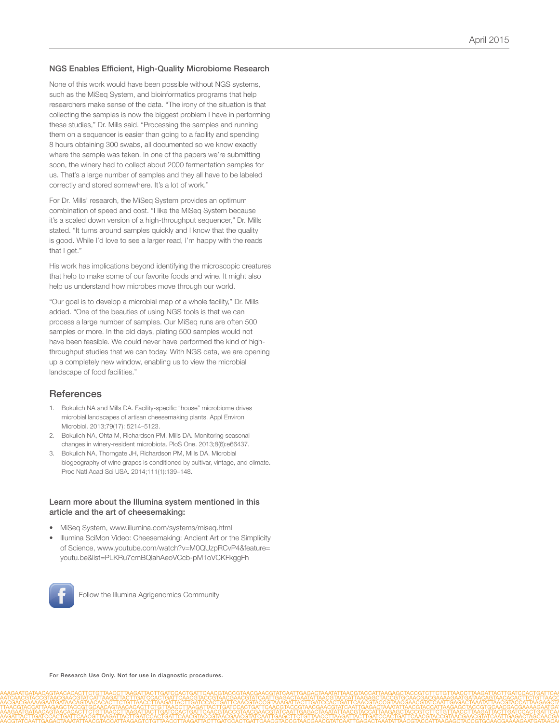#### NGS Enables Efficient, High-Quality Microbiome Research

None of this work would have been possible without NGS systems, such as the MiSeq System, and bioinformatics programs that help researchers make sense of the data. "The irony of the situation is that collecting the samples is now the biggest problem I have in performing these studies," Dr. Mills said. "Processing the samples and running them on a sequencer is easier than going to a facility and spending 8 hours obtaining 300 swabs, all documented so we know exactly where the sample was taken. In one of the papers we're submitting soon, the winery had to collect about 2000 fermentation samples for us. That's a large number of samples and they all have to be labeled correctly and stored somewhere. It's a lot of work."

For Dr. Mills' research, the MiSeq System provides an optimum combination of speed and cost. "I like the MiSeq System because it's a scaled down version of a high-throughput sequencer," Dr. Mills stated. "It turns around samples quickly and I know that the quality is good. While I'd love to see a larger read, I'm happy with the reads that I get."

His work has implications beyond identifying the microscopic creatures that help to make some of our favorite foods and wine. It might also help us understand how microbes move through our world.

"Our goal is to develop a microbial map of a whole facility," Dr. Mills added. "One of the beauties of using NGS tools is that we can process a large number of samples. Our MiSeq runs are often 500 samples or more. In the old days, plating 500 samples would not have been feasible. We could never have performed the kind of highthroughput studies that we can today. With NGS data, we are opening up a completely new window, enabling us to view the microbial landscape of food facilities."

## **References**

- 1. [Bokulich NA and Mills DA. Facility-specific "house" microbiome drives](http://www.ncbi.nlm.nih.gov/pubmed/23793641)  [microbial landscapes of artisan cheesemaking plants. Appl Environ](http://www.ncbi.nlm.nih.gov/pubmed/23793641)  [Microbiol. 2013;79\(17\): 5214–5123.](http://www.ncbi.nlm.nih.gov/pubmed/23793641)
- 2. [Bokulich NA, Ohta M, Richardson PM, Mills DA. Monitoring seasonal](http://www.ncbi.nlm.nih.gov/pubmed/23840468)  [changes in winery-resident microbiota. PloS One. 2013;8\(6\):e66437.](http://www.ncbi.nlm.nih.gov/pubmed/23840468)
- 3. [Bokulich NA, Thorngate JH, Richardson PM, Mills DA. Microbial](http://www.ncbi.nlm.nih.gov/pubmed/24277822)  [biogeography of wine grapes is conditioned by cultivar, vintage, and climate.](http://www.ncbi.nlm.nih.gov/pubmed/24277822)  [Proc Natl Acad Sci USA. 2014;111\(1\):139–148.](http://www.ncbi.nlm.nih.gov/pubmed/24277822)

#### Learn more about the Illumina system mentioned in this article and the art of cheesemaking:

- [MiSeq System, www.illumina.com/systems/miseq.html](http://www.illumina.com/systems/miseq.html)
- I[llumina SciMon Video: Cheesemaking: Ancient Art or the Simplicity](www.youtube.com/watch?v=M0QUzpRCvP4&feature=youtu.be&list=PLKRu7cmBQlahAeoVCcb-pM1oVCKFkggFh
)  [of Science, www.youtube.com/watch?v=M0QUzpRCvP4&feature=](www.youtube.com/watch?v=M0QUzpRCvP4&feature=youtu.be&list=PLKRu7cmBQlahAeoVCcb-pM1oVCKFkggFh
) [youtu.be&list=PLKRu7cmBQlahAeoVCcb-pM1oVCKFkggFh](www.youtube.com/watch?v=M0QUzpRCvP4&feature=youtu.be&list=PLKRu7cmBQlahAeoVCcb-pM1oVCKFkggFh
)



[Follow the Illumina Agrigenomics Community](https://www.facebook.com/AgConsortia)